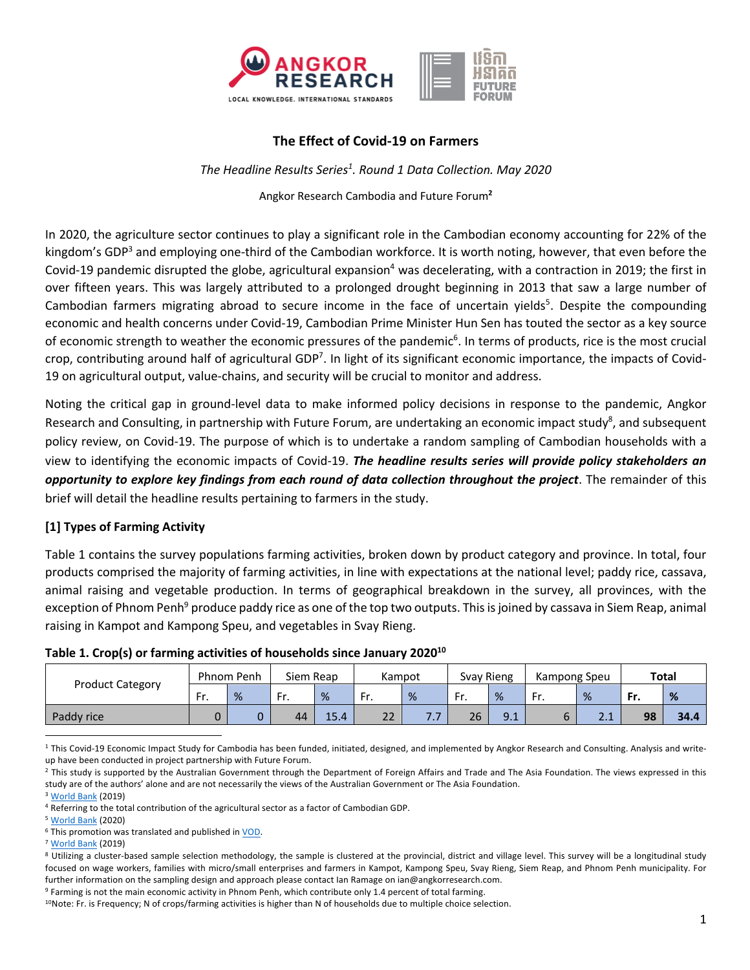

## **The Effect of Covid-19 on Farmers**

*The Headline Results Series1 . Round 1 Data Collection. May 2020*

Angkor Research Cambodia and Future Forum**<sup>2</sup>**

In 2020, the agriculture sector continues to play a significant role in the Cambodian economy accounting for 22% of the kingdom's GDP<sup>3</sup> and employing one-third of the Cambodian workforce. It is worth noting, however, that even before the Covid-19 pandemic disrupted the globe, agricultural expansion<sup>4</sup> was decelerating, with a contraction in 2019; the first in over fifteen years. This was largely attributed to a prolonged drought beginning in 2013 that saw a large number of Cambodian farmers migrating abroad to secure income in the face of uncertain yields<sup>5</sup>. Despite the compounding economic and health concerns under Covid-19, Cambodian Prime Minister Hun Sen has touted the sector as a key source of economic strength to weather the economic pressures of the pandemic<sup>6</sup>. In terms of products, rice is the most crucial crop, contributing around half of agricultural GDP<sup>7</sup>. In light of its significant economic importance, the impacts of Covid-19 on agricultural output, value-chains, and security will be crucial to monitor and address.

Noting the critical gap in ground-level data to make informed policy decisions in response to the pandemic, Angkor Research and Consulting, in partnership with Future Forum, are undertaking an economic impact study<sup>8</sup>, and subsequent policy review, on Covid-19. The purpose of which is to undertake a random sampling of Cambodian households with a view to identifying the economic impacts of Covid-19. *The headline results series will provide policy stakeholders an opportunity to explore key findings from each round of data collection throughout the project*. The remainder of this brief will detail the headline results pertaining to farmers in the study.

### **[1] Types of Farming Activity**

Table 1 contains the survey populations farming activities, broken down by product category and province. In total, four products comprised the majority of farming activities, in line with expectations at the national level; paddy rice, cassava, animal raising and vegetable production. In terms of geographical breakdown in the survey, all provinces, with the exception of Phnom Penh<sup>9</sup> produce paddy rice as one of the top two outputs. This is joined by cassava in Siem Reap, animal raising in Kampot and Kampong Speu, and vegetables in Svay Rieng.

| <b>Product Category</b> | Phnom Penh |   | Siem Reap |      | Kampot      |     | Svay Rieng |     | Kampong Speu |                              | Total |      |
|-------------------------|------------|---|-----------|------|-------------|-----|------------|-----|--------------|------------------------------|-------|------|
|                         | Fr.        | % | Fr.       | %    | Fr.         | %   | Fr.        | %   | Fr.          | %                            | Fr.   | %    |
| Paddy rice              |            |   | 44        | 15.4 | $\sim$<br>ᅩ | ,,, | 26         | 9.1 |              | $^{\circ}$ $^{\circ}$<br>2.1 | 98    | 34.4 |

<sup>1</sup> This Covid-19 Economic Impact Study for Cambodia has been funded, initiated, designed, and implemented by Angkor Research and Consulting. Analysis and writeup have been conducted in project partnership with Future Forum.

<sup>2</sup> This study is supported by the Australian Government through the Department of Foreign Affairs and Trade and The Asia Foundation. The views expressed in this study are of the authors' alone and are not necessarily the views of the Australian Government or The Asia Foundation.

<sup>3</sup> World Bank (2019)

<sup>5</sup> World Bank (2020)

<sup>9</sup> Farming is not the main economic activity in Phnom Penh, which contribute only 1.4 percent of total farming.

<sup>4</sup> Referring to the total contribution of the agricultural sector as a factor of Cambodian GDP.

<sup>6</sup> This promotion was translated and published in VOD.

<sup>7</sup> World Bank (2019)

<sup>&</sup>lt;sup>8</sup> Utilizing a cluster-based sample selection methodology, the sample is clustered at the provincial, district and village level. This survey will be a longitudinal study focused on wage workers, families with micro/small enterprises and farmers in Kampot, Kampong Speu, Svay Rieng, Siem Reap, and Phnom Penh municipality. For further information on the sampling design and approach please contact Ian Ramage on ian@angkorresearch.com.

<sup>&</sup>lt;sup>10</sup>Note: Fr. is Frequency; N of crops/farming activities is higher than N of households due to multiple choice selection.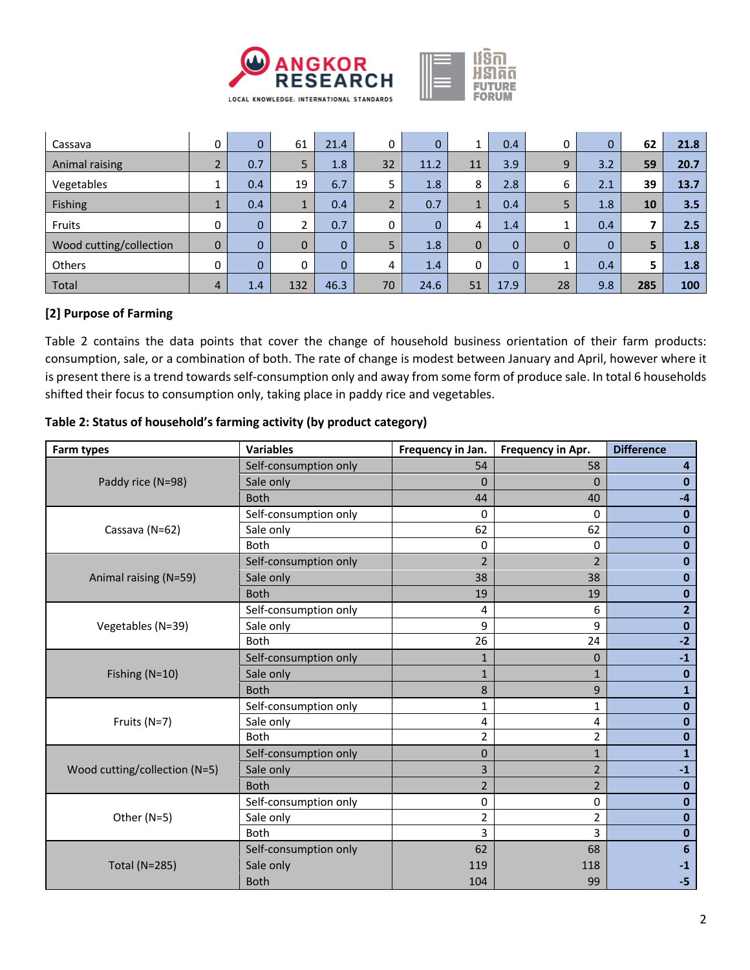

| Cassava                 | 0                        | 0            | 61       | 21.4     | 0                        | 0           |              | 0.4      | 0            | $\Omega$ | 62  | 21.8 |
|-------------------------|--------------------------|--------------|----------|----------|--------------------------|-------------|--------------|----------|--------------|----------|-----|------|
| Animal raising          | $\overline{\phantom{0}}$ | 0.7          | 5        | 1.8      | 32                       | 11.2        | 11           | 3.9      | 9            | 3.2      | 59  | 20.7 |
| Vegetables              |                          | 0.4          | 19       | 6.7      | 5                        | 1.8         | 8            | 2.8      | 6            | 2.1      | 39  | 13.7 |
| Fishing                 |                          | 0.4          | Ŧ.       | 0.4      | $\overline{\phantom{0}}$ | 0.7         |              | 0.4      | 5            | 1.8      | 10  | 3.5  |
| Fruits                  | 0                        | $\mathbf{0}$ |          | 0.7      | 0                        | $\mathbf 0$ | 4            | 1.4      |              | 0.4      | ⇁   | 2.5  |
| Wood cutting/collection | $\mathbf 0$              | 0            | $\Omega$ | $\Omega$ | 5                        | 1.8         | $\mathbf{0}$ | $\Omega$ | $\mathbf{0}$ | $\Omega$ | 5   | 1.8  |
| Others                  | $\Omega$                 | $\Omega$     | $\Omega$ | $\Omega$ | 4                        | 1.4         | 0            | $\Omega$ |              | 0.4      | 5   | 1.8  |
| Total                   | 4                        | 1.4          | 132      | 46.3     | 70                       | 24.6        | 51           | 17.9     | 28           | 9.8      | 285 | 100  |

### **[2] Purpose of Farming**

Table 2 contains the data points that cover the change of household business orientation of their farm products: consumption, sale, or a combination of both. The rate of change is modest between January and April, however where it is present there is a trend towards self-consumption only and away from some form of produce sale. In total 6 households shifted their focus to consumption only, taking place in paddy rice and vegetables.

| Farm types                    | <b>Variables</b>      | Frequency in Jan. | Frequency in Apr. | <b>Difference</b> |
|-------------------------------|-----------------------|-------------------|-------------------|-------------------|
|                               | Self-consumption only | 54                | 58                | 4                 |
| Paddy rice (N=98)             | Sale only             | $\Omega$          | $\Omega$          | $\bf{0}$          |
|                               | <b>Both</b>           | 44                | 40                | $-4$              |
|                               | Self-consumption only | $\mathbf 0$       | 0                 | $\mathbf 0$       |
| Cassava (N=62)                | Sale only             | 62                | 62                | $\bf{0}$          |
|                               | Both                  | $\mathbf 0$       | 0                 | $\mathbf 0$       |
|                               | Self-consumption only | $\overline{2}$    | $\overline{2}$    | $\bf{0}$          |
| Animal raising (N=59)         | Sale only             | 38                | 38                | $\bf{0}$          |
|                               | <b>Both</b>           | 19                | 19                | $\bf{0}$          |
|                               | Self-consumption only | 4                 | 6                 | $\overline{2}$    |
| Vegetables (N=39)             | Sale only             | 9                 | 9                 | $\mathbf 0$       |
|                               | <b>Both</b>           | 26                | 24                | $-2$              |
|                               | Self-consumption only | $\mathbf{1}$      | $\mathbf 0$       | $-1$              |
| Fishing (N=10)                | Sale only             | $\mathbf{1}$      | $\mathbf{1}$      | $\mathbf{0}$      |
|                               | <b>Both</b>           | 8                 | 9                 | $\mathbf{1}$      |
|                               | Self-consumption only | 1                 | $\mathbf{1}$      | $\mathbf{0}$      |
| Fruits (N=7)                  | Sale only             | 4                 | 4                 | $\bf{0}$          |
|                               | <b>Both</b>           | $\overline{2}$    | 2                 | $\mathbf{0}$      |
|                               | Self-consumption only | $\mathbf{0}$      | $\mathbf{1}$      | $\mathbf{1}$      |
| Wood cutting/collection (N=5) | Sale only             | 3                 | $\overline{2}$    | $-1$              |
|                               | <b>Both</b>           | $\overline{2}$    | $\overline{2}$    | $\bf{0}$          |
|                               | Self-consumption only | $\pmb{0}$         | 0                 | $\mathbf 0$       |
| Other (N=5)                   | Sale only             | $\overline{2}$    | $\overline{2}$    | $\mathbf 0$       |
|                               | <b>Both</b>           | 3                 | 3                 | $\mathbf{0}$      |
|                               | Self-consumption only | 62                | 68                | $6\phantom{1}6$   |
| <b>Total (N=285)</b>          | Sale only             | 119               | 118               | $-1$              |
|                               | <b>Both</b>           | 104               | 99                | $-5$              |

**Table 2: Status of household's farming activity (by product category)**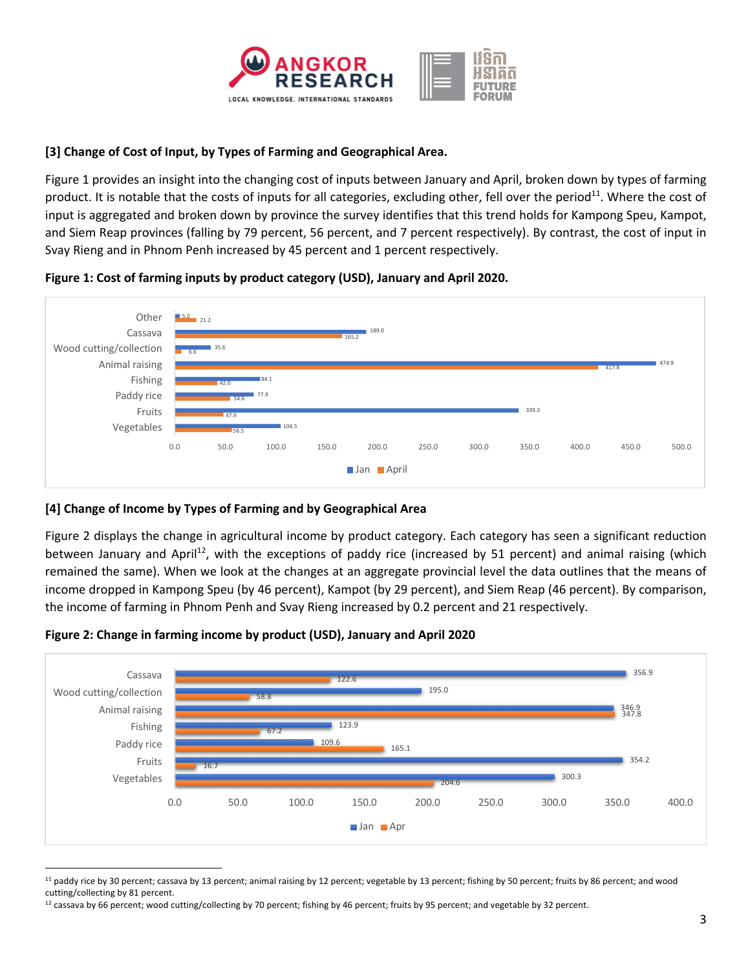

### **[3] Change of Cost of Input, by Types of Farming and Geographical Area.**

Figure 1 provides an insight into the changing cost of inputs between January and April, broken down by types of farming product. It is notable that the costs of inputs for all categories, excluding other, fell over the period $^{11}$ . Where the cost of input is aggregated and broken down by province the survey identifies that this trend holds for Kampong Speu, Kampot, and Siem Reap provinces (falling by 79 percent, 56 percent, and 7 percent respectively). By contrast, the cost of input in Svay Rieng and in Phnom Penh increased by 45 percent and 1 percent respectively.

### **Figure 1: Cost of farming inputs by product category (USD), January and April 2020.**



### **[4] Change of Income by Types of Farming and by Geographical Area**

Figure 2 displays the change in agricultural income by product category. Each category has seen a significant reduction between January and April<sup>12</sup>, with the exceptions of paddy rice (increased by 51 percent) and animal raising (which remained the same). When we look at the changes at an aggregate provincial level the data outlines that the means of income dropped in Kampong Speu (by 46 percent), Kampot (by 29 percent), and Siem Reap (46 percent). By comparison, the income of farming in Phnom Penh and Svay Rieng increased by 0.2 percent and 21 respectively.



#### **Figure 2: Change in farming income by product (USD), January and April 2020**

<sup>&</sup>lt;sup>11</sup> paddy rice by 30 percent; cassava by 13 percent; animal raising by 12 percent; vegetable by 13 percent; fishing by 50 percent; fruits by 86 percent; and wood cutting/collecting by 81 percent.

 $12$  cassava by 66 percent; wood cutting/collecting by 70 percent; fishing by 46 percent; fruits by 95 percent; and vegetable by 32 percent.